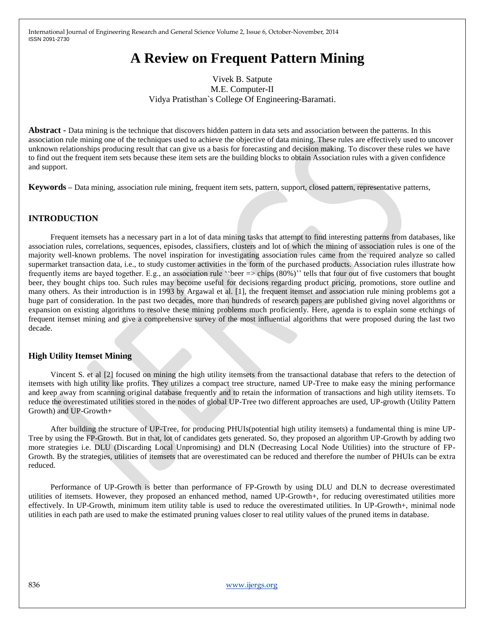# **A Review on Frequent Pattern Mining**

# Vivek B. Satpute M.E. Computer-II Vidya Pratisthan`s College Of Engineering-Baramati.

**Abstract -** Data mining is the technique that discovers hidden pattern in data sets and association between the patterns. In this association rule mining one of the techniques used to achieve the objective of data mining. These rules are effectively used to uncover unknown relationships producing result that can give us a basis for forecasting and decision making. To discover these rules we have to find out the frequent item sets because these item sets are the building blocks to obtain Association rules with a given confidence and support.

**Keywords –** Data mining, association rule mining, frequent item sets, pattern, support, closed pattern, representative patterns,

## **INTRODUCTION**

Frequent itemsets has a necessary part in a lot of data mining tasks that attempt to find interesting patterns from databases, like association rules, correlations, sequences, episodes, classifiers, clusters and lot of which the mining of association rules is one of the majority well-known problems. The novel inspiration for investigating association rules came from the required analyze so called supermarket transaction data, i.e., to study customer activities in the form of the purchased products. Association rules illustrate how frequently items are bayed together. E.g., an association rule ""beer => chips (80%)"" tells that four out of five customers that bought beer, they bought chips too. Such rules may become useful for decisions regarding product pricing, promotions, store outline and many others. As their introduction is in 1993 by Argawal et al. [1], the frequent itemset and association rule mining problems got a huge part of consideration. In the past two decades, more than hundreds of research papers are published giving novel algorithms or expansion on existing algorithms to resolve these mining problems much proficiently. Here, agenda is to explain some etchings of frequent itemset mining and give a comprehensive survey of the most influential algorithms that were proposed during the last two decade.

## **High Utility Itemset Mining**

Vincent S. et al [2] focused on mining the high utility itemsets from the transactional database that refers to the detection of itemsets with high utility like profits. They utilizes a compact tree structure, named UP-Tree to make easy the mining performance and keep away from scanning original database frequently and to retain the information of transactions and high utility itemsets. To reduce the overestimated utilities stored in the nodes of global UP-Tree two different approaches are used, UP-growth (Utility Pattern Growth) and UP-Growth+

After building the structure of UP-Tree, for producing PHUIs(potential high utility itemsets) a fundamental thing is mine UP-Tree by using the FP-Growth. But in that, lot of candidates gets generated. So, they proposed an algorithm UP-Growth by adding two more strategies i.e. DLU (Discarding Local Unpromising) and DLN (Decreasing Local Node Utilities) into the structure of FP-Growth. By the strategies, utilities of itemsets that are overestimated can be reduced and therefore the number of PHUIs can be extra reduced.

Performance of UP-Growth is better than performance of FP-Growth by using DLU and DLN to decrease overestimated utilities of itemsets. However, they proposed an enhanced method, named UP-Growth+, for reducing overestimated utilities more effectively. In UP-Growth, minimum item utility table is used to reduce the overestimated utilities. In UP-Growth+, minimal node utilities in each path are used to make the estimated pruning values closer to real utility values of the pruned items in database.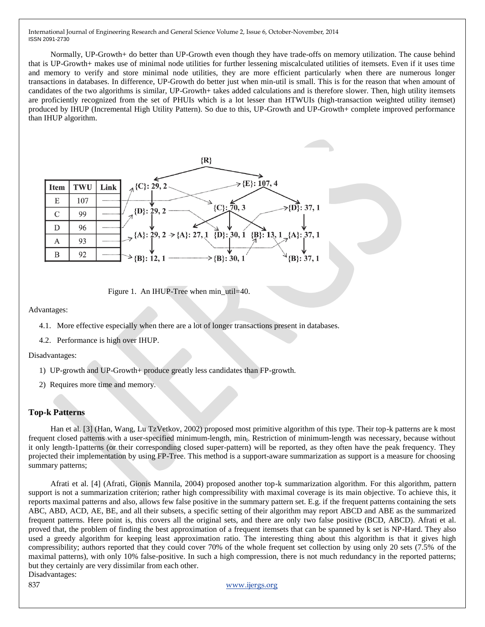Normally, UP-Growth+ do better than UP-Growth even though they have trade-offs on memory utilization. The cause behind that is UP-Growth+ makes use of minimal node utilities for further lessening miscalculated utilities of itemsets. Even if it uses time and memory to verify and store minimal node utilities, they are more efficient particularly when there are numerous longer transactions in databases. In difference, UP-Growth do better just when min-util is small. This is for the reason that when amount of candidates of the two algorithms is similar, UP-Growth+ takes added calculations and is therefore slower. Then, high utility itemsets are proficiently recognized from the set of PHUIs which is a lot lesser than HTWUIs (high-transaction weighted utility itemset) produced by IHUP (Incremental High Utility Pattern). So due to this, UP-Growth and UP-Growth+ complete improved performance than IHUP algorithm.



Figure 1. An IHUP-Tree when min\_util=40.

Advantages:

- 4.1. More effective especially when there are a lot of longer transactions present in databases.
- 4.2. Performance is high over IHUP.

Disadvantages:

- 1) UP-growth and UP-Growth+ produce greatly less candidates than FP-growth.
- 2) Requires more time and memory.

## **Top-k Patterns**

Han et al. [3] (Han, Wang, Lu TzVetkov, 2002) proposed most primitive algorithm of this type. Their top-k patterns are k most frequent closed patterns with a user-specified minimum-length, min<sub>l</sub>. Restriction of minimum-length was necessary, because without it only length-1patterns (or their corresponding closed super-pattern) will be reported, as they often have the peak frequency. They projected their implementation by using FP-Tree. This method is a support-aware summarization as support is a measure for choosing summary patterns;

Afrati et al. [4] (Afrati, Gionis Mannila, 2004) proposed another top-k summarization algorithm. For this algorithm, pattern support is not a summarization criterion; rather high compressibility with maximal coverage is its main objective. To achieve this, it reports maximal patterns and also, allows few false positive in the summary pattern set. E.g. if the frequent patterns containing the sets ABC, ABD, ACD, AE, BE, and all their subsets, a specific setting of their algorithm may report ABCD and ABE as the summarized frequent patterns. Here point is, this covers all the original sets, and there are only two false positive (BCD, ABCD). Afrati et al. proved that, the problem of finding the best approximation of a frequent itemsets that can be spanned by k set is NP-Hard. They also used a greedy algorithm for keeping least approximation ratio. The interesting thing about this algorithm is that it gives high compressibility; authors reported that they could cover 70% of the whole frequent set collection by using only 20 sets (7.5% of the maximal patterns), with only 10% false-positive. In such a high compression, there is not much redundancy in the reported patterns; but they certainly are very dissimilar from each other. Disadvantages:

### 837 www.ijergs.org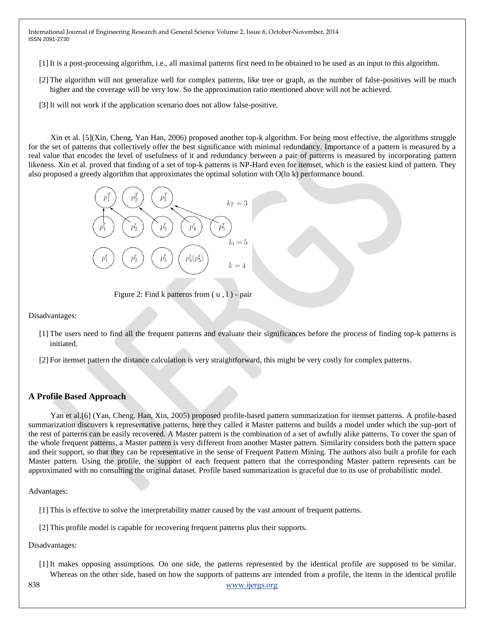[1] It is a post-processing algorithm, i.e., all maximal patterns first need to be obtained to be used as an input to this algorithm.

- [2] The algorithm will not generalize well for complex patterns, like tree or graph, as the number of false-positives will be much higher and the coverage will be very low. So the approximation ratio mentioned above will not be achieved.
- [3] It will not work if the application scenario does not allow false-positive.

Xin et al. [5](Xin, Cheng, Yan Han, 2006) proposed another top-k algorithm. For being most effective, the algorithms struggle for the set of patterns that collectively offer the best significance with minimal redundancy. Importance of a pattern is measured by a real value that encodes the level of usefulness of it and redundancy between a pair of patterns is measured by incorporating pattern likeness. Xin et al. proved that finding of a set of top-k patterns is NP-Hard even for itemset, which is the easiest kind of pattern. They also proposed a greedy algorithm that approximates the optimal solution with O(ln k) performance bound.



Figure 2: Find k patterns from  $(u, 1)$  - pair

Disadvantages:

- [1] The users need to find all the frequent patterns and evaluate their significances before the process of finding top-k patterns is initiated.
- [2] For itemset pattern the distance calculation is very straightforward, this might be very costly for complex patterns.

## **A Profile Based Approach**

Yan et al.[6] (Yan, Cheng, Han, Xin, 2005) proposed profile-based pattern summarization for itemset patterns. A profile-based summarization discovers k representative patterns, here they called it Master patterns and builds a model under which the sup-port of the rest of patterns can be easily recovered. A Master pattern is the combination of a set of awfully alike patterns. To cover the span of the whole frequent patterns, a Master pattern is very different from another Master pattern. Similarity considers both the pattern space and their support, so that they can be representative in the sense of Frequent Pattern Mining. The authors also built a profile for each Master pattern. Using the profile, the support of each frequent pattern that the corresponding Master pattern represents can be approximated with no consulting the original dataset. Profile based summarization is graceful due to its use of probabilistic model.

Advantages:

[1] This is effective to solve the interpretability matter caused by the vast amount of frequent patterns.

[2] This profile model is capable for recovering frequent patterns plus their supports.

Disadvantages:

- [1] It makes opposing assumptions. On one side, the patterns represented by the identical profile are supposed to be similar. Whereas on the other side, based on how the supports of patterns are intended from a profile, the items in the identical profile
- 838 www.ijergs.org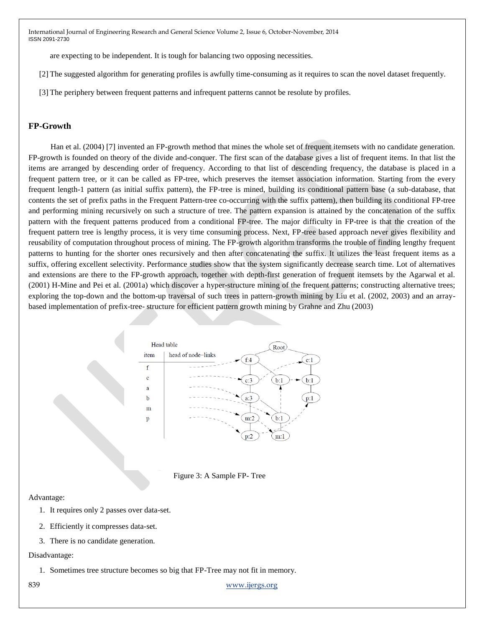are expecting to be independent. It is tough for balancing two opposing necessities.

[2] The suggested algorithm for generating profiles is awfully time-consuming as it requires to scan the novel dataset frequently.

[3] The periphery between frequent patterns and infrequent patterns cannot be resolute by profiles.

## **FP-Growth**

Han et al. (2004) [7] invented an FP-growth method that mines the whole set of frequent itemsets with no candidate generation. FP-growth is founded on theory of the divide and-conquer. The first scan of the database gives a list of frequent items. In that list the items are arranged by descending order of frequency. According to that list of descending frequency, the database is placed in a frequent pattern tree, or it can be called as FP-tree, which preserves the itemset association information. Starting from the every frequent length-1 pattern (as initial suffix pattern), the FP-tree is mined, building its conditional pattern base (a sub-database, that contents the set of prefix paths in the Frequent Pattern-tree co-occurring with the suffix pattern), then building its conditional FP-tree and performing mining recursively on such a structure of tree. The pattern expansion is attained by the concatenation of the suffix pattern with the frequent patterns produced from a conditional FP-tree. The major difficulty in FP-tree is that the creation of the frequent pattern tree is lengthy process, it is very time consuming process. Next, FP-tree based approach never gives flexibility and reusability of computation throughout process of mining. The FP-growth algorithm transforms the trouble of finding lengthy frequent patterns to hunting for the shorter ones recursively and then after concatenating the suffix. It utilizes the least frequent items as a suffix, offering excellent selectivity. Performance studies show that the system significantly decrease search time. Lot of alternatives and extensions are there to the FP-growth approach, together with depth-first generation of frequent itemsets by the Agarwal et al. (2001) H-Mine and Pei et al. (2001a) which discover a hyper-structure mining of the frequent patterns; constructing alternative trees; exploring the top-down and the bottom-up traversal of such trees in pattern-growth mining by Liu et al. (2002, 2003) and an arraybased implementation of prefix-tree- structure for efficient pattern growth mining by Grahne and Zhu (2003)



Figure 3: A Sample FP- Tree

#### Advantage:

- 1. It requires only 2 passes over data-set.
- 2. Efficiently it compresses data-set.
- 3. There is no candidate generation.

#### Disadvantage:

1. Sometimes tree structure becomes so big that FP-Tree may not fit in memory.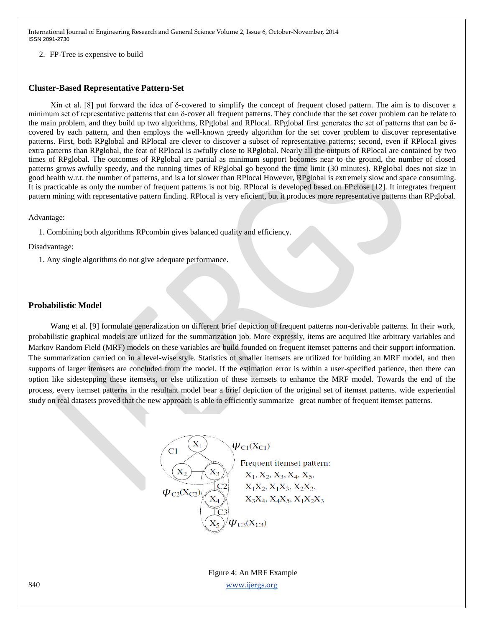2. FP-Tree is expensive to build

## **Cluster-Based Representative Pattern-Set**

Xin et al. [8] put forward the idea of δ-covered to simplify the concept of frequent closed pattern. The aim is to discover a minimum set of representative patterns that can  $\delta$ -cover all frequent patterns. They conclude that the set cover problem can be relate to the main problem, and they build up two algorithms, RPglobal and RPlocal. RPglobal first generates the set of patterns that can be δcovered by each pattern, and then employs the well-known greedy algorithm for the set cover problem to discover representative patterns. First, both RPglobal and RPlocal are clever to discover a subset of representative patterns; second, even if RPlocal gives extra patterns than RPglobal, the feat of RPlocal is awfully close to RPglobal. Nearly all the outputs of RPlocal are contained by two times of RPglobal. The outcomes of RPglobal are partial as minimum support becomes near to the ground, the number of closed patterns grows awfully speedy, and the running times of RPglobal go beyond the time limit (30 minutes). RPglobal does not size in good health w.r.t. the number of patterns, and is a lot slower than RPlocal However, RPglobal is extremely slow and space consuming. It is practicable as only the number of frequent patterns is not big. RPlocal is developed based on FPclose [12]. It integrates frequent pattern mining with representative pattern finding. RPlocal is very eficient, but it produces more representative patterns than RPglobal.

Advantage:

1. Combining both algorithms RPcombin gives balanced quality and efficiency.

Disadvantage:

1. Any single algorithms do not give adequate performance.

## **Probabilistic Model**

Wang et al. [9] formulate generalization on different brief depiction of frequent patterns non-derivable patterns. In their work, probabilistic graphical models are utilized for the summarization job. More expressly, items are acquired like arbitrary variables and Markov Random Field (MRF) models on these variables are build founded on frequent itemset patterns and their support information. The summarization carried on in a level-wise style. Statistics of smaller itemsets are utilized for building an MRF model, and then supports of larger itemsets are concluded from the model. If the estimation error is within a user-specified patience, then there can option like sidestepping these itemsets, or else utilization of these itemsets to enhance the MRF model. Towards the end of the process, every itemset patterns in the resultant model bear a brief depiction of the original set of itemset patterns. wide experiential study on real datasets proved that the new approach is able to efficiently summarize great number of frequent itemset patterns.



840 www.ijergs.org Figure 4: An MRF Example